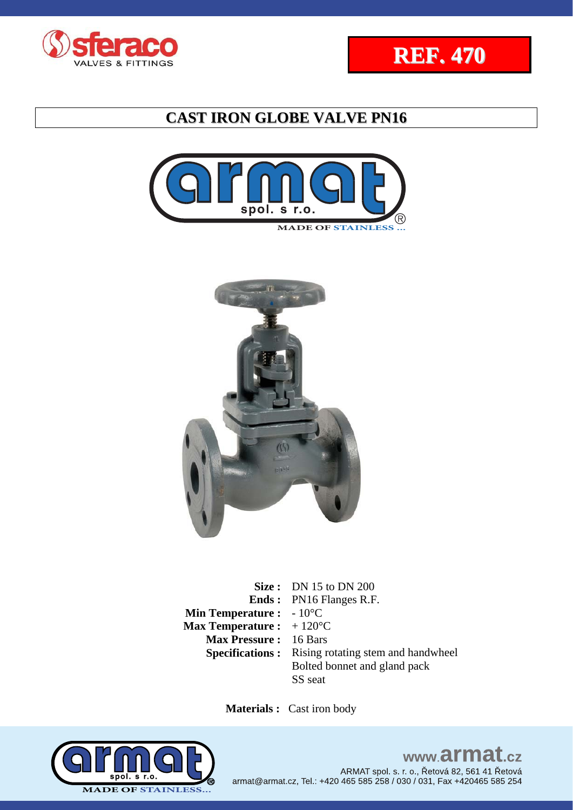







**Size :** DN 15 to DN 200 **Ends :**  PN16 Flanges R.F. **Min Temperature :** - 10<sup>°</sup>C **Max Temperature :**  + 120°C **Max Pressure :** 16 Bars **Specifications :** Rising rotating stem and handwheel Bolted bonnet and gland pack SS seat

 **Materials :** Cast iron body

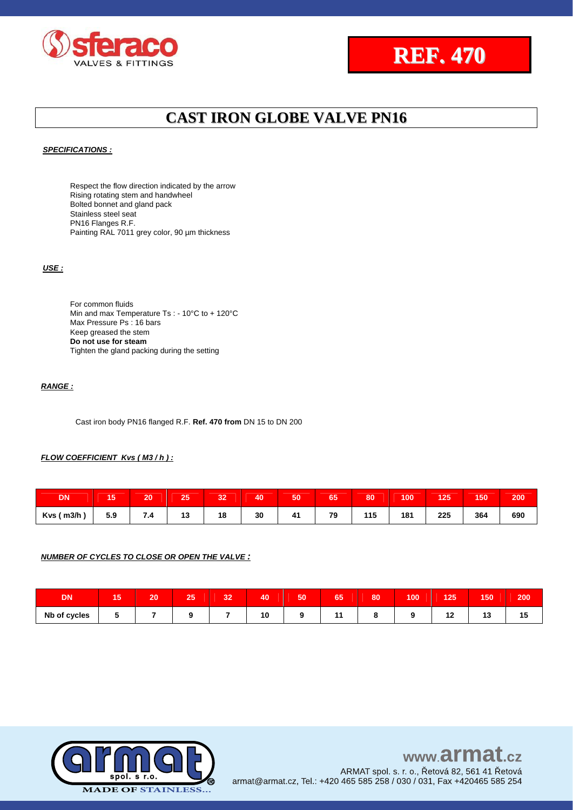



### *SPECIFICATIONS :*

Respect the flow direction indicated by the arrow Rising rotating stem and handwheel Bolted bonnet and gland pack Stainless steel seat PN16 Flanges R.F. Painting RAL 7011 grey color, 90 um thickness

### *USE :*

For common fluids Min and max Temperature Ts : - 10°C to + 120°C Max Pressure Ps : 16 bars Keep greased the stem **Do not use for steam** Tighten the gland packing during the setting

### *RANGE :*

Cast iron body PN16 flanged R.F. **Ref. 470 from** DN 15 to DN 200

### *FLOW COEFFICIENT Kvs ( M3 / h ) :*

| <b>DN</b>      | כ ו | 20               | 25 | 32 | 40 | 50 | 65 | 80  | 100 | 125 | 150 | 200 |
|----------------|-----|------------------|----|----|----|----|----|-----|-----|-----|-----|-----|
| $Kvs$ ( $m3/h$ | 5.9 | $\overline{1.4}$ | 13 | 18 | 30 | 41 | 79 | 115 | 181 | 225 | 364 | 690 |

### *NUMBER OF CYCLES TO CLOSE OR OPEN THE VALVE :*

| <b>DN</b>    | $\sim$<br>ю | 20 <sub>1</sub> | $\overline{ }$ | 22<br>w | 40 | 50 | $\sim$ $\sim$<br>წე | 80 | 100 | 125 | 150 | 200 |
|--------------|-------------|-----------------|----------------|---------|----|----|---------------------|----|-----|-----|-----|-----|
| Nb of cycles |             |                 |                |         | 10 |    | -                   |    |     | . . | 1 v | 10  |

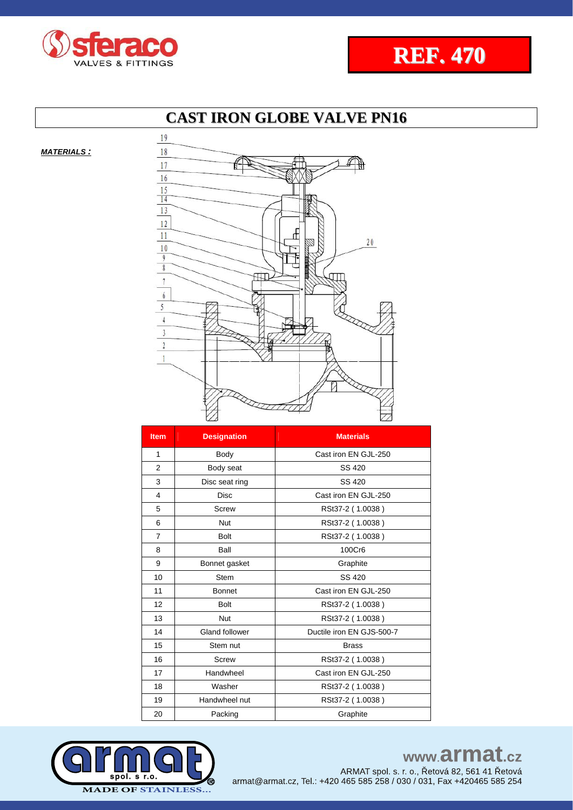



*MATERIALS :*



| <b>Item</b>    | <b>Designation</b>    | <b>Materials</b>          |
|----------------|-----------------------|---------------------------|
| $\mathbf{1}$   | Body                  | Cast iron EN GJL-250      |
| $\overline{2}$ | Body seat             | SS 420                    |
| 3              | Disc seat ring        | SS 420                    |
| 4              | <b>Disc</b>           | Cast iron EN GJL-250      |
| 5              | Screw                 | RSt37-2 (1.0038)          |
| 6              | Nut                   | RSt37-2 (1.0038)          |
| 7              | <b>Bolt</b>           | RSt37-2 (1.0038)          |
| 8              | Ball                  | 100Cr6                    |
| 9              | Bonnet gasket         | Graphite                  |
| 10             | <b>Stem</b>           | SS 420                    |
| 11             | <b>Bonnet</b>         | Cast iron EN GJL-250      |
| 12             | <b>Bolt</b>           | RSt37-2 (1.0038)          |
| 13             | Nut                   | RSt37-2 (1.0038)          |
| 14             | <b>Gland follower</b> | Ductile iron EN GJS-500-7 |
| 15             | Stem nut              | <b>Brass</b>              |
| 16             | <b>Screw</b>          | RSt37-2 (1.0038)          |
| 17             | Handwheel             | Cast iron EN GJL-250      |
| 18             | Washer                | RSt37-2 (1.0038)          |
| 19             | Handwheel nut         | RSt37-2 (1.0038)          |
| 20             | Packing               | Graphite                  |



www.armat.cz ARMAT spol. s. r. o., Řetová 82, 561 41 Řetová armat@armat.cz, Tel.: +420 465 585 258 / 030 / 031, Fax +420465 585 254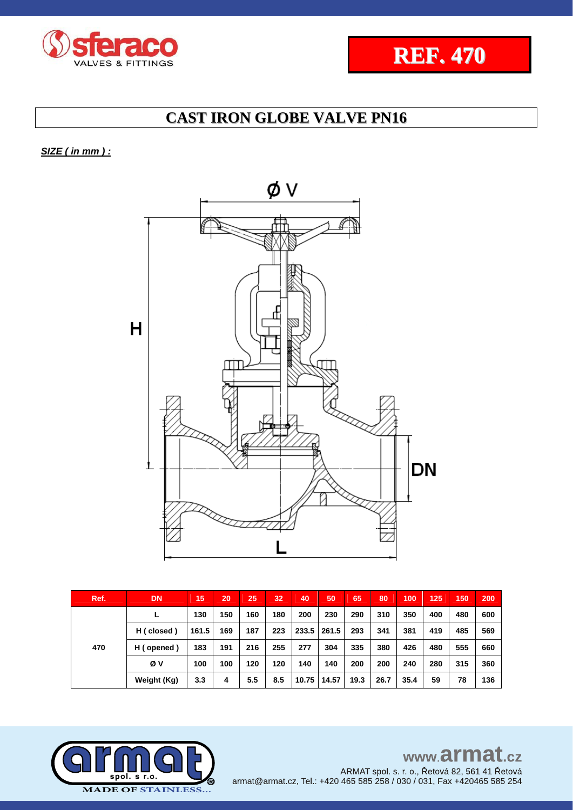



## *SIZE ( in mm ) :*



| Ref. | DN          | 15    | 20  | 25  | 32  | 40    | 50    | 65   | 80   | 100  | 125 | 150 | 200 |
|------|-------------|-------|-----|-----|-----|-------|-------|------|------|------|-----|-----|-----|
|      |             | 130   | 150 | 160 | 180 | 200   | 230   | 290  | 310  | 350  | 400 | 480 | 600 |
|      | H (closed)  | 161.5 | 169 | 187 | 223 | 233.5 | 261.5 | 293  | 341  | 381  | 419 | 485 | 569 |
| 470  | H (opened)  | 183   | 191 | 216 | 255 | 277   | 304   | 335  | 380  | 426  | 480 | 555 | 660 |
|      | Øν          | 100   | 100 | 120 | 120 | 140   | 140   | 200  | 200  | 240  | 280 | 315 | 360 |
|      | Weight (Kg) | 3.3   | 4   | 5.5 | 8.5 | 10.75 | 14.57 | 19.3 | 26.7 | 35.4 | 59  | 78  | 136 |

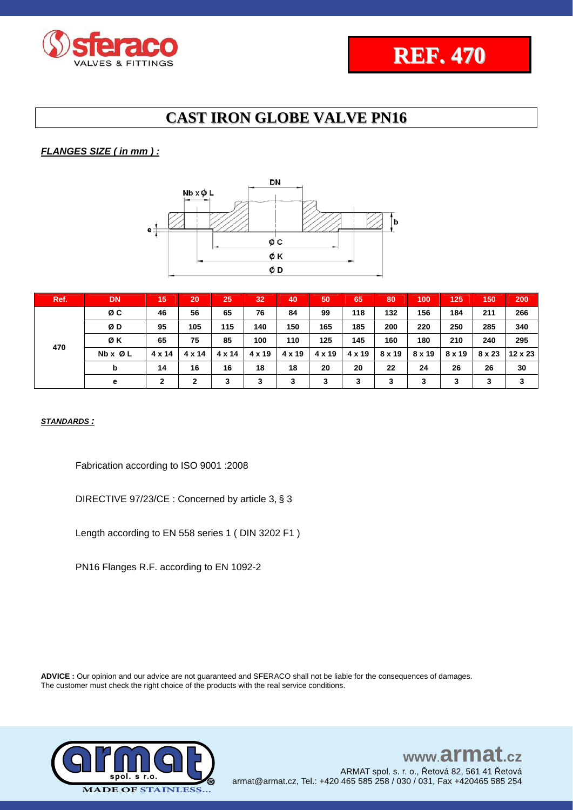

### *FLANGES SIZE ( in mm ) :*



| Ref. | <b>DN</b>               | 15           | 20            | 25            | 32            | 40            | 50     | 65     | 80     | 100    | 125           | 150    | 200            |
|------|-------------------------|--------------|---------------|---------------|---------------|---------------|--------|--------|--------|--------|---------------|--------|----------------|
| 470  | ØC                      | 46           | 56            | 65            | 76            | 84            | 99     | 118    | 132    | 156    | 184           | 211    | 266            |
|      | ØD                      | 95           | 105           | 115           | 140           | 150           | 165    | 185    | 200    | 220    | 250           | 285    | 340            |
|      | ØΚ                      | 65           | 75            | 85            | 100           | 110           | 125    | 145    | 160    | 180    | 210           | 240    | 295            |
|      | $Nb \times \emptyset$ L | 4 x 14       | $4 \times 14$ | $4 \times 14$ | $4 \times 19$ | $4 \times 19$ | 4 x 19 | 4 x 19 | 8 x 19 | 8 x 19 | $8 \times 19$ | 8 x 23 | $12 \times 23$ |
|      | b                       | 14           | 16            | 16            | 18            | 18            | 20     | 20     | 22     | 24     | 26            | 26     | 30             |
|      | е                       | $\mathbf{2}$ | $\mathbf{2}$  | 3             | 3             | 3             | 3      | 3      | 3      | 3      | 3             | 3      | 3              |

*STANDARDS :*

Fabrication according to ISO 9001 :2008

DIRECTIVE 97/23/CE : Concerned by article 3, § 3

Length according to EN 558 series 1 ( DIN 3202 F1 )

PN16 Flanges R.F. according to EN 1092-2

**ADVICE :** Our opinion and our advice are not guaranteed and SFERACO shall not be liable for the consequences of damages. The customer must check the right choice of the products with the real service conditions.